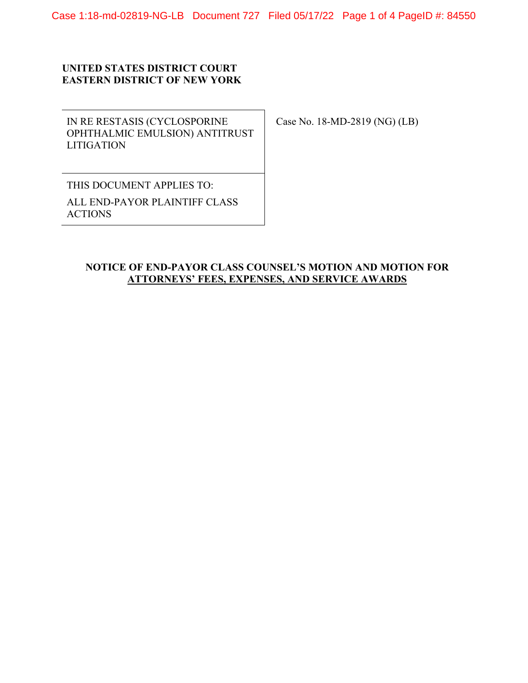## **UNITED STATES DISTRICT COURT EASTERN DISTRICT OF NEW YORK**

IN RE RESTASIS (CYCLOSPORINE OPHTHALMIC EMULSION) ANTITRUST **LITIGATION** 

Case No. 18-MD-2819 (NG) (LB)

THIS DOCUMENT APPLIES TO: ALL END-PAYOR PLAINTIFF CLASS ACTIONS

## **NOTICE OF END-PAYOR CLASS COUNSEL'S MOTION AND MOTION FOR ATTORNEYS' FEES, EXPENSES, AND SERVICE AWARDS**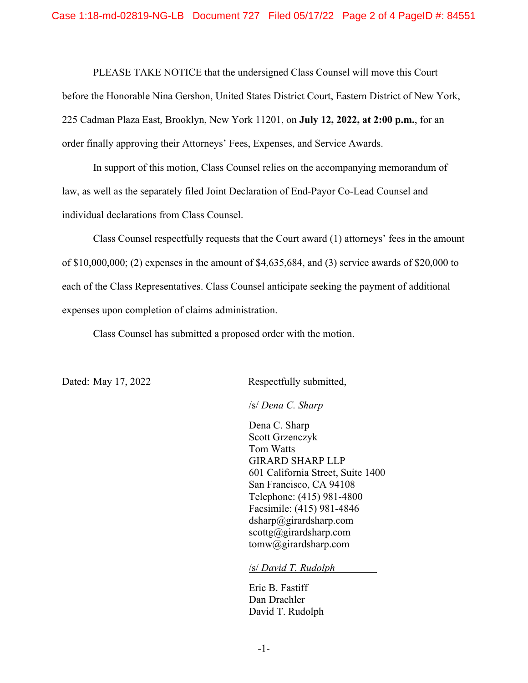PLEASE TAKE NOTICE that the undersigned Class Counsel will move this Court before the Honorable Nina Gershon, United States District Court, Eastern District of New York, 225 Cadman Plaza East, Brooklyn, New York 11201, on **July 12, 2022, at 2:00 p.m.**, for an order finally approving their Attorneys' Fees, Expenses, and Service Awards.

In support of this motion, Class Counsel relies on the accompanying memorandum of law, as well as the separately filed Joint Declaration of End-Payor Co-Lead Counsel and individual declarations from Class Counsel.

Class Counsel respectfully requests that the Court award (1) attorneys' fees in the amount of \$10,000,000; (2) expenses in the amount of \$4,635,684, and (3) service awards of \$20,000 to each of the Class Representatives. Class Counsel anticipate seeking the payment of additional expenses upon completion of claims administration.

Class Counsel has submitted a proposed order with the motion.

Dated: May 17, 2022 Respectfully submitted,

/s/ *Dena C. Sharp* 

Dena C. Sharp Scott Grzenczyk Tom Watts GIRARD SHARP LLP 601 California Street, Suite 1400 San Francisco, CA 94108 Telephone: (415) 981-4800 Facsimile: (415) 981-4846  $dsharp@girardsharp.com$ scottg@girardsharp.com tomw@girardsharp.com

/s/ *David T. Rudolph* 

Eric B. Fastiff Dan Drachler David T. Rudolph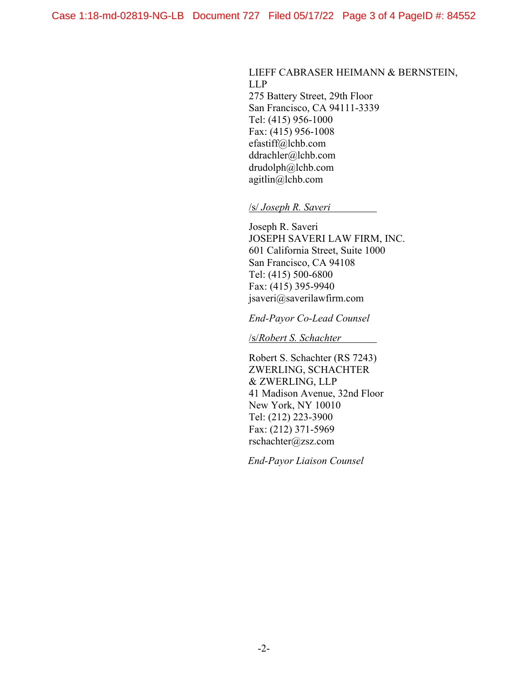## LIEFF CABRASER HEIMANN & BERNSTEIN, LLP

275 Battery Street, 29th Floor San Francisco, CA 94111-3339 Tel: (415) 956-1000 Fax: (415) 956-1008 efastiff@lchb.com ddrachler@lchb.com drudolph@lchb.com agitlin@lchb.com

/s/ *Joseph R. Saveri* 

Joseph R. Saveri JOSEPH SAVERI LAW FIRM, INC. 601 California Street, Suite 1000 San Francisco, CA 94108 Tel: (415) 500-6800 Fax: (415) 395-9940 jsaveri@saverilawfirm.com

*End-Payor Co-Lead Counsel* 

/s/*Robert S. Schachter* 

Robert S. Schachter (RS 7243) ZWERLING, SCHACHTER & ZWERLING, LLP 41 Madison Avenue, 32nd Floor New York, NY 10010 Tel: (212) 223-3900 Fax: (212) 371-5969 rschachter@zsz.com

*End-Payor Liaison Counsel*